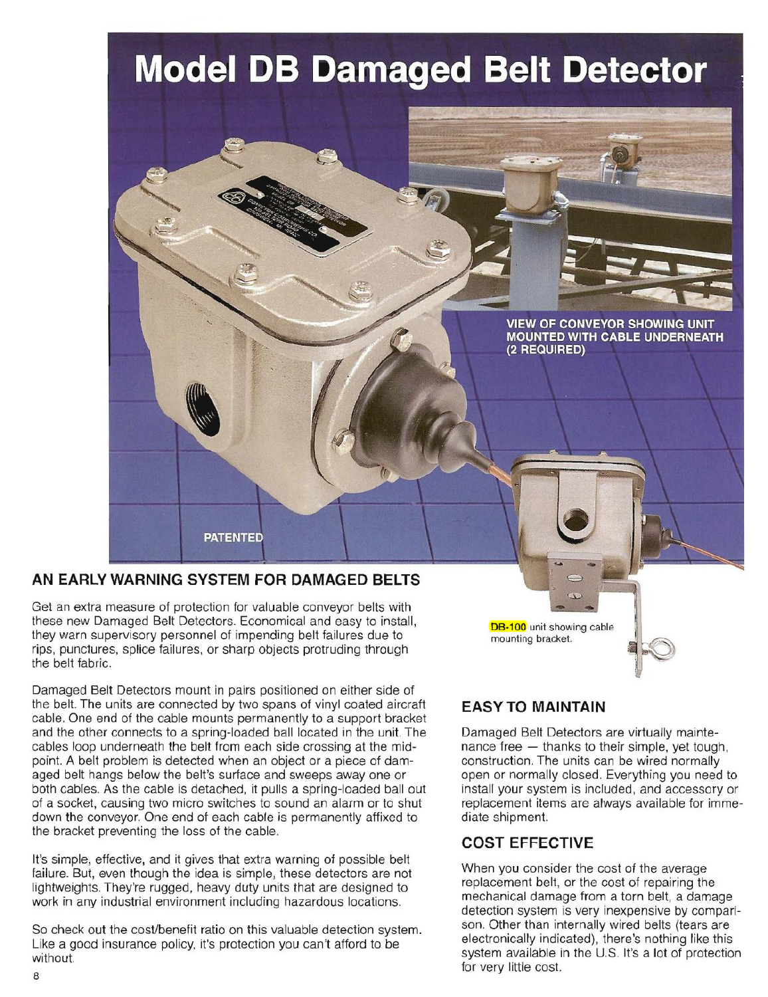# **Model DB Damaged Belt Detector**



## **AN EARLY WARNING SYSTEM FOR DAMAGED BELTS**

Get an extra measure of protection for valuable conveyor belts with these new Damaged Belt Detectors. Economical and easy to install, they warn supervisory personnel of impending belt failures due to rips, punctures, splice failures, or sharp objects protruding through the belt fabric.

Damaged Belt Detectors mount in pairs positioned on either side of the belt. The units are connected by two spans of vinyl coated aircraft cable. One end of the cable mounts permanently to a support bracket and the other connects to a spring-loaded ball located in the unit The cables loop underneath the belt from each side crossing at the midpoint. A belt problem is detected when an object or a piece of damaged belt hangs below the belt's surface and sweeps away one or both cables. As the cable is detached, it pulls a spring-loaded ball out of a socket, causing two micro switches to sound an alarm or to shut down the conveyor. One end of each cable is permanently affixed to the bracket preventing the loss of the cable.

It's simple, effective, and it gives that extra warning of possible belt failure. But, even though the idea is simple, these detectors are not lightweights. They're rugged, heavy duty units that are designed to work in any industrial environment including hazardous locations.

So check out the cost/benefit ratio on this valuable detection system. Like a good insurance policy, it's protection you can't afford to be without.

DB-100 unit showing cable mounting bracket.

## **EASY TO MAINTAIN**

Damaged Belt Detectors are virtually maintenance free  $-$  thanks to their simple, yet tough, construction . The units can be wired normally open or normally closed. Everything you need to install your system is included, and accessory or replacement items are always available for immediate shipment.

## **COST EFFECTIVE**

When you consider the cost of the average replacement belt, or the cost of repairing the mechanical damage from a torn belt, a damage detection system is very inexpensive by comparison. Other than internally wired belts (tears are electronically indicated), there's nothing like this system available in the U.S. It's a lot of protection for very little cost.